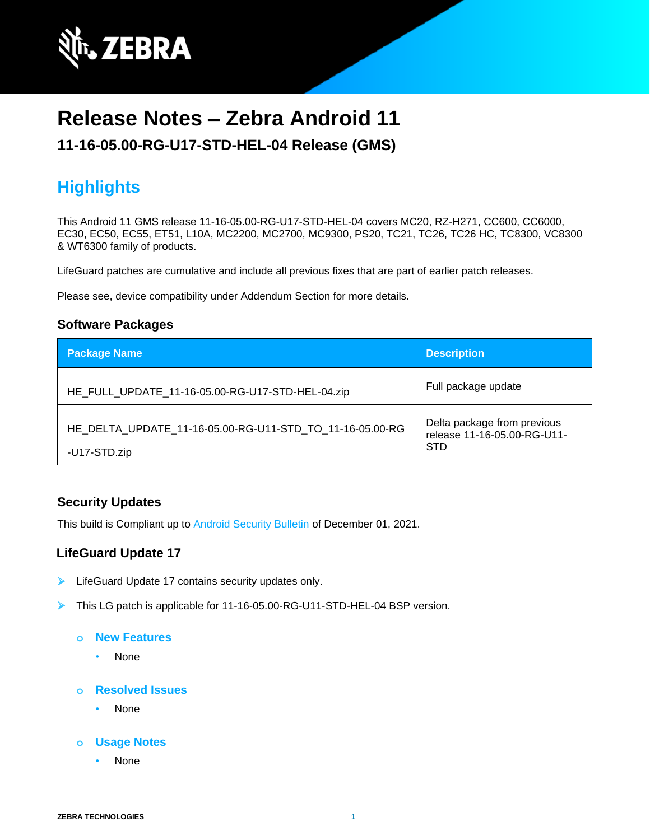

# **Release Notes – Zebra Android 11**

### **11-16-05.00-RG-U17-STD-HEL-04 Release (GMS)**

# **Highlights**

This Android 11 GMS release 11-16-05.00-RG-U17-STD-HEL-04 covers MC20, RZ-H271, CC600, CC6000, EC30, EC50, EC55, ET51, L10A, MC2200, MC2700, MC9300, PS20, TC21, TC26, TC26 HC, TC8300, VC8300 & WT6300 family of products.

LifeGuard patches are cumulative and include all previous fixes that are part of earlier patch releases.

Please see, device compatibility under Addendum Section for more details.

### **Software Packages**

| <b>Package Name</b>                                                      | <b>Description</b>                                                       |
|--------------------------------------------------------------------------|--------------------------------------------------------------------------|
| HE_FULL_UPDATE_11-16-05.00-RG-U17-STD-HEL-04.zip                         | Full package update                                                      |
| HE DELTA UPDATE 11-16-05.00-RG-U11-STD TO 11-16-05.00-RG<br>-U17-STD.zip | Delta package from previous<br>release 11-16-05.00-RG-U11-<br><b>STD</b> |

### **Security Updates**

This build is Compliant up to [Android Security Bulletin](https://source.android.com/security/bulletin/) of December 01, 2021.

### **LifeGuard Update 17**

- ➢ LifeGuard Update 17 contains security updates only.
- ➢ This LG patch is applicable for 11-16-05.00-RG-U11-STD-HEL-04 BSP version.
	- **o New Features**
		- None

#### **o Resolved Issues**

- None
- **o Usage Notes**
	- None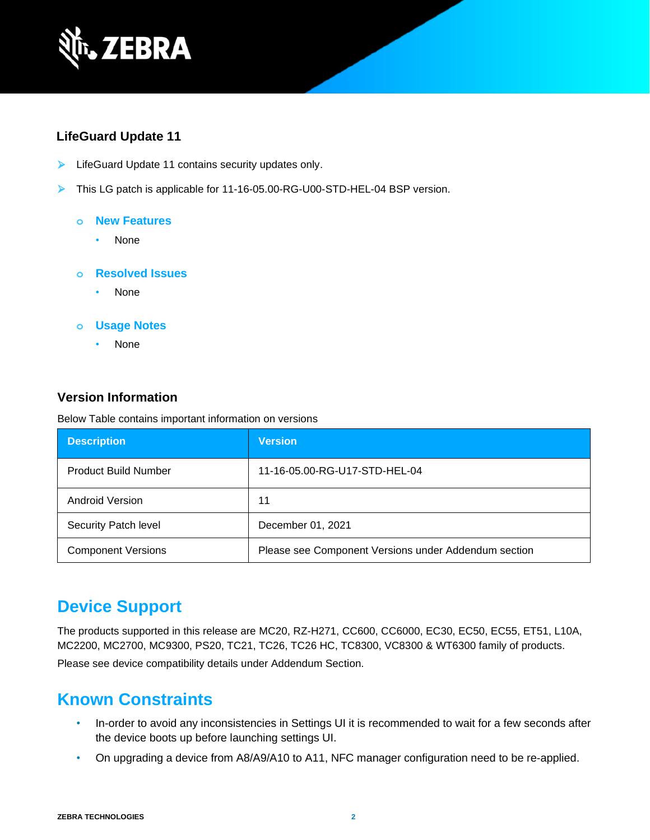

### **LifeGuard Update 11**

- ➢ LifeGuard Update 11 contains security updates only.
- ➢ This LG patch is applicable for 11-16-05.00-RG-U00-STD-HEL-04 BSP version.

#### **o New Features**

• None

#### **o Resolved Issues**

• None

#### **o Usage Notes**

• None

### **Version Information**

Below Table contains important information on versions

| <b>Description</b>          | <b>Version</b>                                       |
|-----------------------------|------------------------------------------------------|
| <b>Product Build Number</b> | 11-16-05.00-RG-U17-STD-HEL-04                        |
| Android Version             | 11                                                   |
| Security Patch level        | December 01, 2021                                    |
| <b>Component Versions</b>   | Please see Component Versions under Addendum section |

# **Device Support**

The products supported in this release are MC20, RZ-H271, CC600, CC6000, EC30, EC50, EC55, ET51, L10A, MC2200, MC2700, MC9300, PS20, TC21, TC26, TC26 HC, TC8300, VC8300 & WT6300 family of products.

Please see device compatibility details under Addendum Section.

# **Known Constraints**

- In-order to avoid any inconsistencies in Settings UI it is recommended to wait for a few seconds after the device boots up before launching settings UI.
- On upgrading a device from A8/A9/A10 to A11, NFC manager configuration need to be re-applied.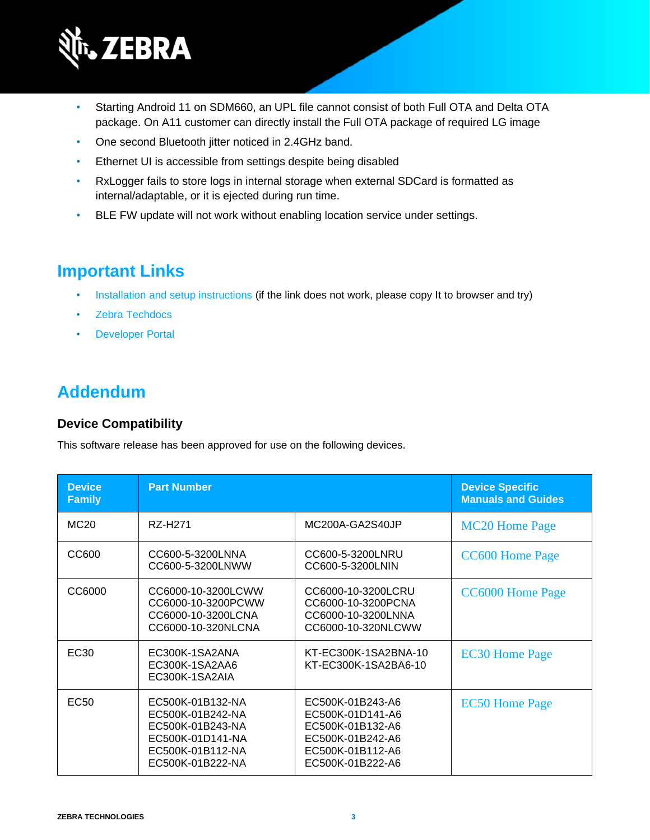

- Starting Android 11 on SDM660, an UPL file cannot consist of both Full OTA and Delta OTA package. On A11 customer can directly install the Full OTA package of required LG image
- One second Bluetooth jitter noticed in 2.4GHz band.
- Ethernet UI is accessible from settings despite being disabled
- RxLogger fails to store logs in internal storage when external SDCard is formatted as internal/adaptable, or it is ejected during run time.
- BLE FW update will not work without enabling location service under settings.

# **Important Links**

- [Installation and setup instructions](https://www.zebra.com/content/dam/zebra_new_ia/en-us/software/operating-system/helios/A11-os-update-instructions.pdf) (if the link does not work, please copy It to browser and try)
- [Zebra Techdocs](http://techdocs.zebra.com/)
- [Developer Portal](http://developer.zebra.com/)

# **Addendum**

### **Device Compatibility**

This software release has been approved for use on the following devices.

| <b>Device</b><br><b>Family</b> | <b>Part Number</b>                                                                                                   |                                                                                                                      | <b>Device Specific</b><br><b>Manuals and Guides</b> |
|--------------------------------|----------------------------------------------------------------------------------------------------------------------|----------------------------------------------------------------------------------------------------------------------|-----------------------------------------------------|
| MC <sub>20</sub>               | RZ-H271                                                                                                              | MC200A-GA2S40JP                                                                                                      | <b>MC20 Home Page</b>                               |
| CC600                          | CC600-5-3200LNNA<br>CC600-5-3200LNWW                                                                                 | CC600-5-3200LNRU<br>CC600-5-3200LNIN                                                                                 | <b>CC600 Home Page</b>                              |
| CC6000                         | CC6000-10-3200LCWW<br>CC6000-10-3200PCWW<br>CC6000-10-3200LCNA<br>CC6000-10-320NLCNA                                 | CC6000-10-3200LCRU<br>CC6000-10-3200PCNA<br>CC6000-10-3200LNNA<br>CC6000-10-320NLCWW                                 | CC6000 Home Page                                    |
| EC <sub>30</sub>               | EC300K-1SA2ANA<br>EC300K-1SA2AA6<br>EC300K-1SA2AIA                                                                   | KT-EC300K-1SA2BNA-10<br>KT-EC300K-1SA2BA6-10                                                                         | <b>EC30 Home Page</b>                               |
| EC <sub>50</sub>               | EC500K-01B132-NA<br>EC500K-01B242-NA<br>EC500K-01B243-NA<br>EC500K-01D141-NA<br>EC500K-01B112-NA<br>EC500K-01B222-NA | EC500K-01B243-A6<br>EC500K-01D141-A6<br>EC500K-01B132-A6<br>EC500K-01B242-A6<br>EC500K-01B112-A6<br>EC500K-01B222-A6 | <b>EC50 Home Page</b>                               |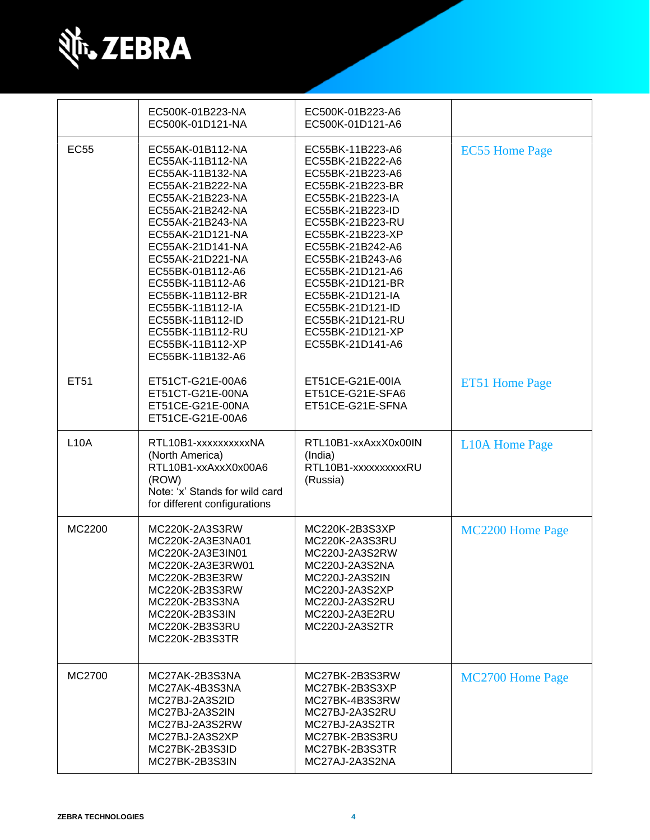

|             | EC500K-01B223-NA<br>EC500K-01D121-NA                                                                                                                                                                                                                                                                                                                                 | EC500K-01B223-A6<br>EC500K-01D121-A6                                                                                                                                                                                                                                                                                                             |                       |
|-------------|----------------------------------------------------------------------------------------------------------------------------------------------------------------------------------------------------------------------------------------------------------------------------------------------------------------------------------------------------------------------|--------------------------------------------------------------------------------------------------------------------------------------------------------------------------------------------------------------------------------------------------------------------------------------------------------------------------------------------------|-----------------------|
| <b>EC55</b> | EC55AK-01B112-NA<br>EC55AK-11B112-NA<br>EC55AK-11B132-NA<br>EC55AK-21B222-NA<br>EC55AK-21B223-NA<br>EC55AK-21B242-NA<br>EC55AK-21B243-NA<br>EC55AK-21D121-NA<br>EC55AK-21D141-NA<br>EC55AK-21D221-NA<br>EC55BK-01B112-A6<br>EC55BK-11B112-A6<br>EC55BK-11B112-BR<br>EC55BK-11B112-IA<br>EC55BK-11B112-ID<br>EC55BK-11B112-RU<br>EC55BK-11B112-XP<br>EC55BK-11B132-A6 | EC55BK-11B223-A6<br>EC55BK-21B222-A6<br>EC55BK-21B223-A6<br>EC55BK-21B223-BR<br>EC55BK-21B223-IA<br>EC55BK-21B223-ID<br>EC55BK-21B223-RU<br>EC55BK-21B223-XP<br>EC55BK-21B242-A6<br>EC55BK-21B243-A6<br>EC55BK-21D121-A6<br>EC55BK-21D121-BR<br>EC55BK-21D121-IA<br>EC55BK-21D121-ID<br>EC55BK-21D121-RU<br>EC55BK-21D121-XP<br>EC55BK-21D141-A6 | <b>EC55 Home Page</b> |
| ET51        | ET51CT-G21E-00A6<br>ET51CT-G21E-00NA<br>ET51CE-G21E-00NA<br>ET51CE-G21E-00A6                                                                                                                                                                                                                                                                                         | ET51CE-G21E-00IA<br>ET51CE-G21E-SFA6<br>ET51CE-G21E-SFNA                                                                                                                                                                                                                                                                                         | ET51 Home Page        |
| <b>L10A</b> | RTL10B1-xxxxxxxxxxNA<br>(North America)<br>RTL10B1-xxAxxX0x00A6<br>(ROW)<br>Note: 'x' Stands for wild card<br>for different configurations                                                                                                                                                                                                                           | RTL10B1-xxAxxX0x00IN<br>(India)<br>RTL10B1-xxxxxxxxxRU<br>(Russia)                                                                                                                                                                                                                                                                               | <b>L10A Home Page</b> |
| MC2200      | MC220K-2A3S3RW<br>MC220K-2A3E3NA01<br>MC220K-2A3E3IN01<br>MC220K-2A3E3RW01<br>MC220K-2B3E3RW<br>MC220K-2B3S3RW<br>MC220K-2B3S3NA<br>MC220K-2B3S3IN<br>MC220K-2B3S3RU<br>MC220K-2B3S3TR                                                                                                                                                                               | MC220K-2B3S3XP<br>MC220K-2A3S3RU<br>MC220J-2A3S2RW<br>MC220J-2A3S2NA<br>MC220J-2A3S2IN<br>MC220J-2A3S2XP<br>MC220J-2A3S2RU<br>MC220J-2A3E2RU<br>MC220J-2A3S2TR                                                                                                                                                                                   | MC2200 Home Page      |
| MC2700      | MC27AK-2B3S3NA<br>MC27AK-4B3S3NA<br>MC27BJ-2A3S2ID<br>MC27BJ-2A3S2IN<br>MC27BJ-2A3S2RW<br>MC27BJ-2A3S2XP<br>MC27BK-2B3S3ID<br>MC27BK-2B3S3IN                                                                                                                                                                                                                         | MC27BK-2B3S3RW<br>MC27BK-2B3S3XP<br>MC27BK-4B3S3RW<br>MC27BJ-2A3S2RU<br>MC27BJ-2A3S2TR<br>MC27BK-2B3S3RU<br>MC27BK-2B3S3TR<br>MC27AJ-2A3S2NA                                                                                                                                                                                                     | MC2700 Home Page      |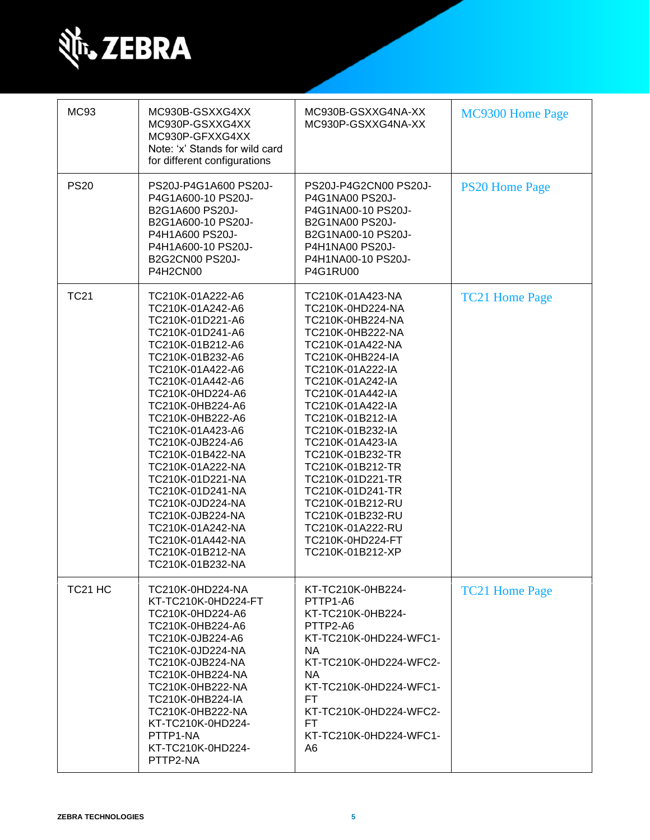

| <b>MC93</b>         | MC930B-GSXXG4XX<br>MC930P-GSXXG4XX<br>MC930P-GFXXG4XX<br>Note: 'x' Stands for wild card<br>for different configurations                                                                                                                                                                                                                                                                                                                                                  | MC930B-GSXXG4NA-XX<br>MC930P-GSXXG4NA-XX                                                                                                                                                                                                                                                                                                                                                                                                             | MC9300 Home Page      |
|---------------------|--------------------------------------------------------------------------------------------------------------------------------------------------------------------------------------------------------------------------------------------------------------------------------------------------------------------------------------------------------------------------------------------------------------------------------------------------------------------------|------------------------------------------------------------------------------------------------------------------------------------------------------------------------------------------------------------------------------------------------------------------------------------------------------------------------------------------------------------------------------------------------------------------------------------------------------|-----------------------|
| <b>PS20</b>         | PS20J-P4G1A600 PS20J-<br>P4G1A600-10 PS20J-<br>B2G1A600 PS20J-<br>B2G1A600-10 PS20J-<br>P4H1A600 PS20J-<br>P4H1A600-10 PS20J-<br>B2G2CN00 PS20J-<br>P4H2CN00                                                                                                                                                                                                                                                                                                             | PS20J-P4G2CN00 PS20J-<br>P4G1NA00 PS20J-<br>P4G1NA00-10 PS20J-<br><b>B2G1NA00 PS20J-</b><br>B2G1NA00-10 PS20J-<br>P4H1NA00 PS20J-<br>P4H1NA00-10 PS20J-<br><b>P4G1RU00</b>                                                                                                                                                                                                                                                                           | <b>PS20 Home Page</b> |
| <b>TC21</b>         | TC210K-01A222-A6<br>TC210K-01A242-A6<br>TC210K-01D221-A6<br>TC210K-01D241-A6<br>TC210K-01B212-A6<br>TC210K-01B232-A6<br>TC210K-01A422-A6<br>TC210K-01A442-A6<br>TC210K-0HD224-A6<br>TC210K-0HB224-A6<br>TC210K-0HB222-A6<br>TC210K-01A423-A6<br>TC210K-0JB224-A6<br>TC210K-01B422-NA<br>TC210K-01A222-NA<br>TC210K-01D221-NA<br>TC210K-01D241-NA<br>TC210K-0JD224-NA<br>TC210K-0JB224-NA<br>TC210K-01A242-NA<br>TC210K-01A442-NA<br>TC210K-01B212-NA<br>TC210K-01B232-NA | TC210K-01A423-NA<br>TC210K-0HD224-NA<br>TC210K-0HB224-NA<br>TC210K-0HB222-NA<br>TC210K-01A422-NA<br>TC210K-0HB224-IA<br>TC210K-01A222-IA<br>TC210K-01A242-IA<br>TC210K-01A442-IA<br>TC210K-01A422-IA<br>TC210K-01B212-IA<br>TC210K-01B232-IA<br>TC210K-01A423-IA<br>TC210K-01B232-TR<br>TC210K-01B212-TR<br>TC210K-01D221-TR<br>TC210K-01D241-TR<br>TC210K-01B212-RU<br>TC210K-01B232-RU<br>TC210K-01A222-RU<br>TC210K-0HD224-FT<br>TC210K-01B212-XP | <b>TC21 Home Page</b> |
| TC <sub>21</sub> HC | TC210K-0HD224-NA<br>KT-TC210K-0HD224-FT<br>TC210K-0HD224-A6<br>TC210K-0HB224-A6<br>TC210K-0JB224-A6<br>TC210K-0JD224-NA<br>TC210K-0JB224-NA<br>TC210K-0HB224-NA<br>TC210K-0HB222-NA<br>TC210K-0HB224-IA<br>TC210K-0HB222-NA<br>KT-TC210K-0HD224-<br>PTTP1-NA<br>KT-TC210K-0HD224-<br>PTTP2-NA                                                                                                                                                                            | KT-TC210K-0HB224-<br>PTTP1-A6<br>KT-TC210K-0HB224-<br>PTTP2-A6<br>KT-TC210K-0HD224-WFC1-<br>NA.<br>KT-TC210K-0HD224-WFC2-<br><b>NA</b><br>KT-TC210K-0HD224-WFC1-<br>FT<br>KT-TC210K-0HD224-WFC2-<br>FT.<br>KT-TC210K-0HD224-WFC1-<br>A6                                                                                                                                                                                                              | <b>TC21 Home Page</b> |

Ш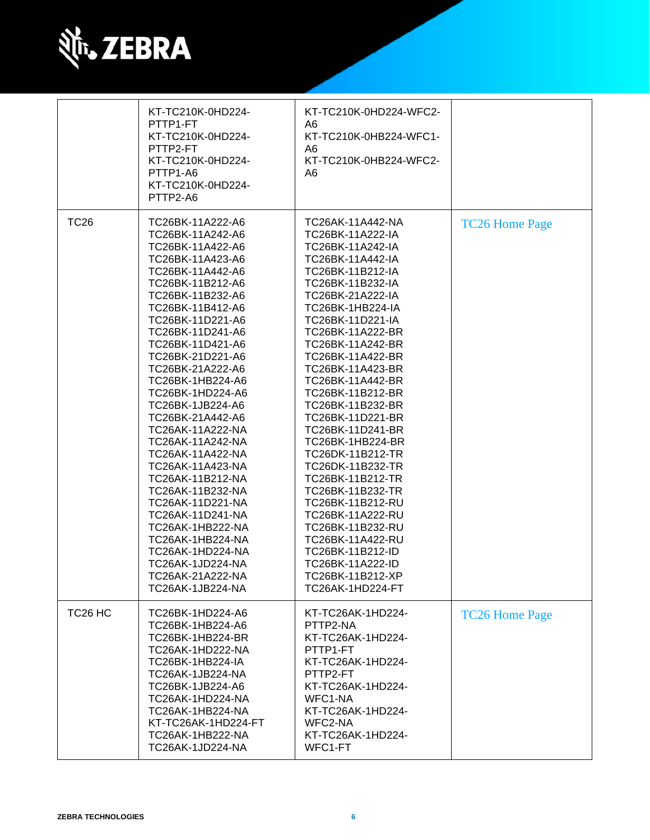

|                     | KT-TC210K-0HD224-<br>PTTP1-FT<br>KT-TC210K-0HD224-<br>PTTP2-FT<br>KT-TC210K-0HD224-<br>PTTP1-A6<br>KT-TC210K-0HD224-<br>PTTP2-A6                                                                                                                                                                                                                                                                                                                                                                                                                                                                                                         | KT-TC210K-0HD224-WFC2-<br>A6<br>KT-TC210K-0HB224-WFC1-<br>A6<br>KT-TC210K-0HB224-WFC2-<br>A <sub>6</sub>                                                                                                                                                                                                                                                                                                                                                                                                                                                                                                                                        |                       |
|---------------------|------------------------------------------------------------------------------------------------------------------------------------------------------------------------------------------------------------------------------------------------------------------------------------------------------------------------------------------------------------------------------------------------------------------------------------------------------------------------------------------------------------------------------------------------------------------------------------------------------------------------------------------|-------------------------------------------------------------------------------------------------------------------------------------------------------------------------------------------------------------------------------------------------------------------------------------------------------------------------------------------------------------------------------------------------------------------------------------------------------------------------------------------------------------------------------------------------------------------------------------------------------------------------------------------------|-----------------------|
| <b>TC26</b>         | TC26BK-11A222-A6<br>TC26BK-11A242-A6<br>TC26BK-11A422-A6<br>TC26BK-11A423-A6<br>TC26BK-11A442-A6<br>TC26BK-11B212-A6<br>TC26BK-11B232-A6<br>TC26BK-11B412-A6<br>TC26BK-11D221-A6<br>TC26BK-11D241-A6<br>TC26BK-11D421-A6<br>TC26BK-21D221-A6<br>TC26BK-21A222-A6<br>TC26BK-1HB224-A6<br>TC26BK-1HD224-A6<br>TC26BK-1JB224-A6<br>TC26BK-21A442-A6<br>TC26AK-11A222-NA<br>TC26AK-11A242-NA<br>TC26AK-11A422-NA<br>TC26AK-11A423-NA<br>TC26AK-11B212-NA<br>TC26AK-11B232-NA<br>TC26AK-11D221-NA<br>TC26AK-11D241-NA<br>TC26AK-1HB222-NA<br>TC26AK-1HB224-NA<br>TC26AK-1HD224-NA<br>TC26AK-1JD224-NA<br>TC26AK-21A222-NA<br>TC26AK-1JB224-NA | TC26AK-11A442-NA<br>TC26BK-11A222-IA<br>TC26BK-11A242-IA<br>TC26BK-11A442-IA<br>TC26BK-11B212-IA<br>TC26BK-11B232-IA<br>TC26BK-21A222-IA<br><b>TC26BK-1HB224-IA</b><br>TC26BK-11D221-IA<br>TC26BK-11A222-BR<br>TC26BK-11A242-BR<br>TC26BK-11A422-BR<br>TC26BK-11A423-BR<br>TC26BK-11A442-BR<br>TC26BK-11B212-BR<br>TC26BK-11B232-BR<br>TC26BK-11D221-BR<br>TC26BK-11D241-BR<br>TC26BK-1HB224-BR<br>TC26DK-11B212-TR<br>TC26DK-11B232-TR<br>TC26BK-11B212-TR<br>TC26BK-11B232-TR<br>TC26BK-11B212-RU<br>TC26BK-11A222-RU<br>TC26BK-11B232-RU<br>TC26BK-11A422-RU<br>TC26BK-11B212-ID<br>TC26BK-11A222-ID<br>TC26BK-11B212-XP<br>TC26AK-1HD224-FT | <b>TC26 Home Page</b> |
| TC <sub>26</sub> HC | TC26BK-1HD224-A6<br>TC26BK-1HB224-A6<br>TC26BK-1HB224-BR<br>TC26AK-1HD222-NA<br>TC26BK-1HB224-IA<br>TC26AK-1JB224-NA<br>TC26BK-1JB224-A6<br>TC26AK-1HD224-NA<br>TC26AK-1HB224-NA<br>KT-TC26AK-1HD224-FT<br>TC26AK-1HB222-NA<br>TC26AK-1JD224-NA                                                                                                                                                                                                                                                                                                                                                                                          | KT-TC26AK-1HD224-<br>PTTP2-NA<br>KT-TC26AK-1HD224-<br>PTTP1-FT<br>KT-TC26AK-1HD224-<br>PTTP2-FT<br>KT-TC26AK-1HD224-<br>WFC1-NA<br>KT-TC26AK-1HD224-<br>WFC2-NA<br>KT-TC26AK-1HD224-<br>WFC1-FT                                                                                                                                                                                                                                                                                                                                                                                                                                                 | <b>TC26 Home Page</b> |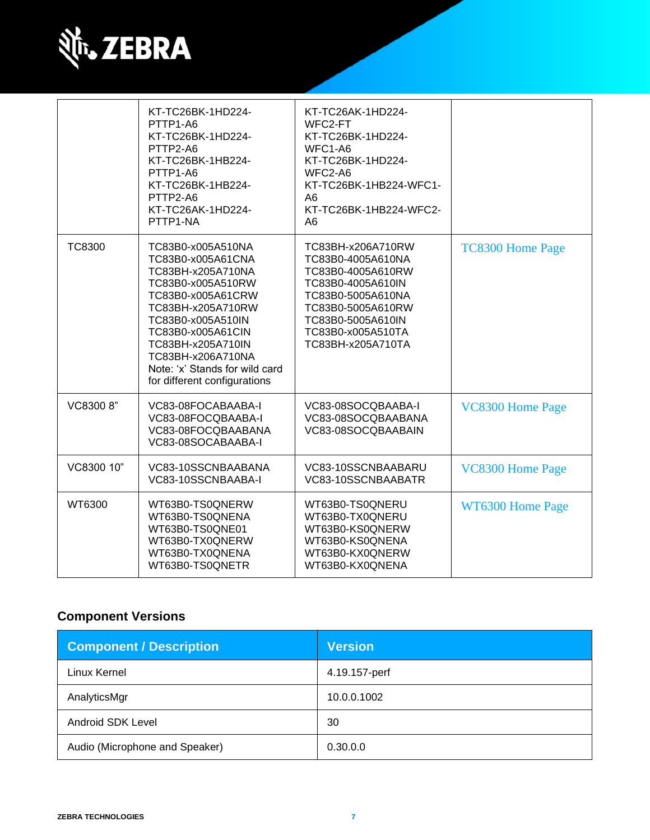

|               | KT-TC26BK-1HD224-<br>PTTP1-A6<br>KT-TC26BK-1HD224-<br>PTTP2-A6<br>KT-TC26BK-1HB224-<br>PTTP1-A6<br>KT-TC26BK-1HB224-<br>PTTP2-A6<br>KT-TC26AK-1HD224-<br>PTTP1-NA                                                                                                                | KT-TC26AK-1HD224-<br>WFC2-FT<br>KT-TC26BK-1HD224-<br>WFC1-A6<br>KT-TC26BK-1HD224-<br>WFC2-A6<br>KT-TC26BK-1HB224-WFC1-<br>A <sub>6</sub><br>KT-TC26BK-1HB224-WFC2-<br>A <sub>6</sub>      |                         |
|---------------|----------------------------------------------------------------------------------------------------------------------------------------------------------------------------------------------------------------------------------------------------------------------------------|-------------------------------------------------------------------------------------------------------------------------------------------------------------------------------------------|-------------------------|
| <b>TC8300</b> | TC83B0-x005A510NA<br>TC83B0-x005A61CNA<br>TC83BH-x205A710NA<br>TC83B0-x005A510RW<br>TC83B0-x005A61CRW<br>TC83BH-x205A710RW<br>TC83B0-x005A510IN<br>TC83B0-x005A61CIN<br>TC83BH-x205A710IN<br>TC83BH-x206A710NA<br>Note: 'x' Stands for wild card<br>for different configurations | TC83BH-x206A710RW<br>TC83B0-4005A610NA<br>TC83B0-4005A610RW<br>TC83B0-4005A610IN<br>TC83B0-5005A610NA<br>TC83B0-5005A610RW<br>TC83B0-5005A610IN<br>TC83B0-x005A510TA<br>TC83BH-x205A710TA | <b>TC8300 Home Page</b> |
| VC8300 8"     | VC83-08FOCABAABA-I<br>VC83-08FOCQBAABA-I<br>VC83-08FOCQBAABANA<br>VC83-08SOCABAABA-I                                                                                                                                                                                             | VC83-08SOCQBAABA-I<br>VC83-08SOCQBAABANA<br>VC83-08SOCQBAABAIN                                                                                                                            | VC8300 Home Page        |
| VC8300 10"    | VC83-10SSCNBAABANA<br>VC83-10SSCNBAABA-I                                                                                                                                                                                                                                         | VC83-10SSCNBAABARU<br>VC83-10SSCNBAABATR                                                                                                                                                  | <b>VC8300 Home Page</b> |
| WT6300        | WT63B0-TS0QNERW<br>WT63B0-TS0QNENA<br>WT63B0-TS0QNE01<br>WT63B0-TX0QNERW<br>WT63B0-TX0QNENA<br>WT63B0-TS0QNETR                                                                                                                                                                   | WT63B0-TS0QNERU<br>WT63B0-TX0QNERU<br>WT63B0-KS0QNERW<br>WT63B0-KS0QNENA<br>WT63B0-KX0QNERW<br>WT63B0-KX0QNENA                                                                            | WT6300 Home Page        |

# **Component Versions**

| <b>Component / Description</b> | <b>Version</b> |
|--------------------------------|----------------|
| Linux Kernel                   | 4.19.157-perf  |
| AnalyticsMgr                   | 10.0.0.1002    |
| Android SDK Level              | 30             |
| Audio (Microphone and Speaker) | 0.30.0.0       |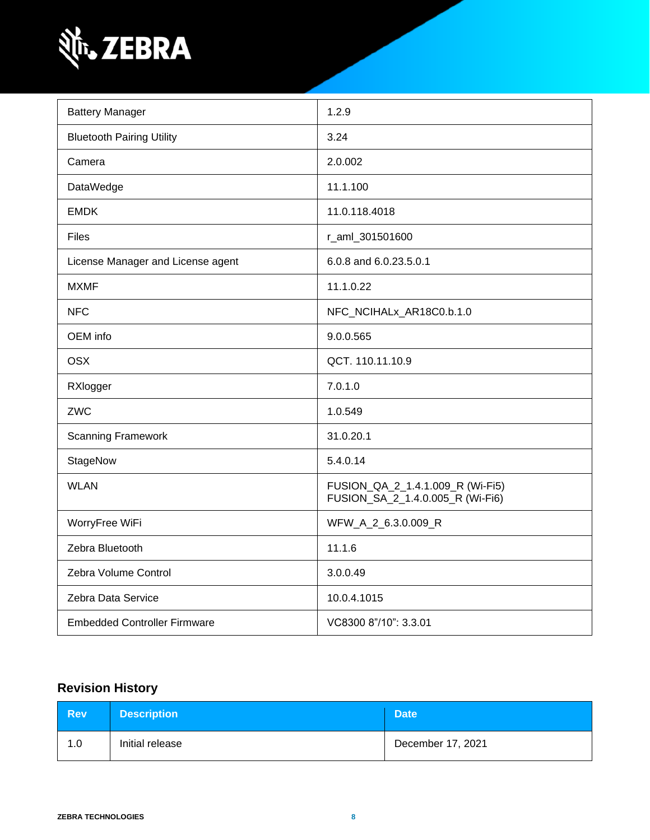

| <b>Battery Manager</b>              | 1.2.9                                                                |
|-------------------------------------|----------------------------------------------------------------------|
| <b>Bluetooth Pairing Utility</b>    | 3.24                                                                 |
| Camera                              | 2.0.002                                                              |
| DataWedge                           | 11.1.100                                                             |
| <b>EMDK</b>                         | 11.0.118.4018                                                        |
| <b>Files</b>                        | r_aml_301501600                                                      |
| License Manager and License agent   | 6.0.8 and 6.0.23.5.0.1                                               |
| <b>MXMF</b>                         | 11.1.0.22                                                            |
| <b>NFC</b>                          | NFC_NCIHALx_AR18C0.b.1.0                                             |
| OEM info                            | 9.0.0.565                                                            |
| <b>OSX</b>                          | QCT. 110.11.10.9                                                     |
| RXlogger                            | 7.0.1.0                                                              |
| ZWC                                 | 1.0.549                                                              |
| <b>Scanning Framework</b>           | 31.0.20.1                                                            |
| StageNow                            | 5.4.0.14                                                             |
| <b>WLAN</b>                         | FUSION_QA_2_1.4.1.009_R (Wi-Fi5)<br>FUSION_SA_2_1.4.0.005_R (Wi-Fi6) |
| WorryFree WiFi                      | WFW_A_2_6.3.0.009_R                                                  |
| Zebra Bluetooth                     | 11.1.6                                                               |
| Zebra Volume Control                | 3.0.0.49                                                             |
| Zebra Data Service                  | 10.0.4.1015                                                          |
| <b>Embedded Controller Firmware</b> | VC8300 8"/10": 3.3.01                                                |

# **Revision History**

| <b>Rev</b> | <b>Description</b> | <b>Date</b>       |
|------------|--------------------|-------------------|
| 1.0        | Initial release    | December 17, 2021 |